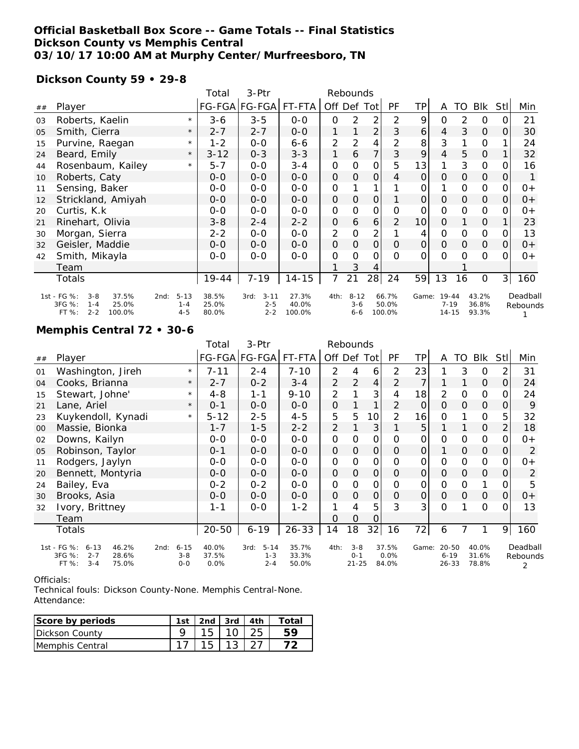### **Official Basketball Box Score -- Game Totals -- Final Statistics Dickson County vs Memphis Central 03/10/17 10:00 AM at Murphy Center/Murfreesboro, TN**

### **Dickson County 59 • 29-8**

|    |                                         |          | Total    | 3-Ptr                 | Rebounds  |               |          |                |        |               |               |          |               |                |          |
|----|-----------------------------------------|----------|----------|-----------------------|-----------|---------------|----------|----------------|--------|---------------|---------------|----------|---------------|----------------|----------|
| ## | Player                                  |          |          | FG-FGA FG-FGA  FT-FTA |           | Off           | Def Tot  |                | PF     | ΤP            | A             | TO       | Blk           | Stl            | Min      |
| 03 | Roberts, Kaelin                         | $\star$  | $3 - 6$  | $3 - 5$               | $0 - 0$   | $\Omega$      | 2        | 2              | 2      | 9             | $\Omega$      | 2        | 0             | 0              | 21       |
| 05 | Smith, Cierra                           | $\star$  | $2 - 7$  | $2 - 7$               | $0-0$     | 1             |          | $\overline{2}$ | 3      | 6             | 4             | 3        | $\Omega$      | Ο              | 30       |
| 15 | Purvine, Raegan                         | $\star$  | $1 - 2$  | $0 - 0$               | $6 - 6$   | 2             | 2        | 4              | 2      | 8             | 3             |          | 0             |                | 24       |
| 24 | Beard, Emily                            | $\star$  | $3 - 12$ | $0 - 3$               | $3 - 3$   | 1             | 6        | $\overline{7}$ | 3      | 9             | 4             | 5        | $\Omega$      |                | 32       |
| 44 | Rosenbaum, Kailey                       | $\star$  | $5 - 7$  | $0 - 0$               | 3-4       | 0             | O        | O              | 5      | 13            |               | 3        | 0             |                | 16       |
| 10 | Roberts, Caty                           |          | $0 - 0$  | $0 - 0$               | $O - O$   | $\Omega$      | $\Omega$ | $\mathbf{O}$   | 4      | $\mathcal{O}$ | $\Omega$      | $\Omega$ | $\mathcal{O}$ | O              |          |
| 11 | Sensing, Baker                          |          | $O-O$    | $0 - 0$               | $O-O$     | 0             |          | 1              |        | 0             |               | $\Omega$ | 0             | Ο              | $0+$     |
| 12 | Strickland, Amiyah                      |          | $0 - 0$  | $0 - 0$               | $0-0$     | $\mathcal{O}$ | $\Omega$ | $\mathbf{O}$   |        | $\Omega$      | $\mathcal{O}$ | $\Omega$ | $\mathcal{O}$ | $\Omega$       | $0+$     |
| 20 | Curtis, K.k.                            |          | $0 - 0$  | $0 - 0$               | $0-0$     | 0             | 0        | O              | Ο      | O             | $\Omega$      | $\Omega$ | 0             | Ω              | $0+$     |
| 21 | Rinehart, Olivia                        |          | $3 - 8$  | $2 - 4$               | $2 - 2$   | $\Omega$      | 6        | 6              | 2      | 10            | $\Omega$      |          | $\Omega$      |                | 23       |
| 30 | Morgan, Sierra                          |          | $2 - 2$  | $0 - 0$               | $0 - 0$   | 2             | 0        | 2              |        | 4             | 0             | 0        | 0             | 0              | 13       |
| 32 | Geisler, Maddie                         |          | $0 - 0$  | $O-O$                 | $0-0$     | $\Omega$      | $\Omega$ | $\mathcal{O}$  | Ο      | $\Omega$      | $\mathcal{O}$ | $\Omega$ | $\mathcal{O}$ | Ο              | $O +$    |
| 42 | Smith, Mikayla                          |          | $0 - 0$  | $O-O$                 | $O-O$     | $\Omega$      | O        | O              | O      | $\Omega$      | $\Omega$      | $\Omega$ | $\Omega$      | റ              | $0+$     |
|    | Team                                    |          |          |                       |           |               | 3        | 4              |        |               |               |          |               |                |          |
|    | Totals                                  |          | 19-44    | $7 - 19$              | $14 - 15$ | 7             | 21       | 28             | 24     | 59            | 13            | 16       | 0             | 3 <sup>1</sup> | 160      |
|    | 1st - FG %:<br>37.5%<br>$3 - 8$<br>2nd: | $5 - 13$ | 38.5%    | $3 - 11$<br>3rd:      | 27.3%     | 4th:          | $8 - 12$ |                | 66.7%  |               | Game: 19-44   |          | 43.2%         |                | Deadball |
|    | 3FG %:<br>25.0%<br>$1 - 4$              | $1 - 4$  | 25.0%    | $2 - 5$               | 40.0%     |               | $3 - 6$  |                | 50.0%  |               | $7 - 19$      |          | 36.8%         |                | Rebounds |
|    | FT %:<br>$2 - 2$<br>100.0%              | $4 - 5$  | 80.0%    | $2 - 2$               | 100.0%    |               | $6 - 6$  |                | 100.0% |               | $14 - 15$     |          | 93.3%         |                |          |

#### **Memphis Central 72 • 30-6**

|    |                                                                                                     |                                | Total                  | 3-Ptr                                  |                         |                     |                                 |                |                        |                |                                    |               |                         |                |                           |
|----|-----------------------------------------------------------------------------------------------------|--------------------------------|------------------------|----------------------------------------|-------------------------|---------------------|---------------------------------|----------------|------------------------|----------------|------------------------------------|---------------|-------------------------|----------------|---------------------------|
| ## | Player                                                                                              |                                |                        | FG-FGA FG-FGA                          | FT-FTA                  | Off Def Tot         |                                 |                | PF                     | TP             | A                                  | TO            | Blk                     | <b>StII</b>    | Min                       |
| 01 | Washington, Jireh                                                                                   | $\star$                        | 7-11                   | $2 - 4$                                | $7 - 10$                | 2                   | 4                               | 6              | 2                      | 23             |                                    | 3             | $\circ$                 | 2              | 31                        |
| 04 | Cooks, Brianna                                                                                      | $\star$                        | $2 - 7$                | $0 - 2$                                | $3 - 4$                 | 2                   | $\overline{2}$                  | $\overline{4}$ | 2                      | 7              | 1                                  | 1             | $\mathbf{O}$            | $\overline{O}$ | 24                        |
| 15 | Stewart, Johne'                                                                                     | $\star$                        | $4 - 8$                | $1 - 1$                                | $9 - 10$                | 2                   |                                 | 3              | 4                      | 18             | $\overline{2}$                     | O             | $\mathcal{O}$           | 0              | 24                        |
| 21 | Lane, Ariel                                                                                         | $\star$                        | $O - 1$                | $0 - 0$                                | $0 - 0$                 | $\mathsf{O}\xspace$ |                                 | 1              | 2                      | 0              | $\mathcal{O}$                      | $\Omega$      | $\mathsf O$             | 0              | 9                         |
| 23 | Kuykendoll, Kynadi                                                                                  | $\star$                        | $5 - 12$               | $2 - 5$                                | $4 - 5$                 | 5                   | 5                               | 10             | $\overline{2}$         | 16             | O                                  |               | 0                       | 5              | 32                        |
| 00 | Massie, Bionka                                                                                      |                                | $1 - 7$                | $1 - 5$                                | $2 - 2$                 | 2                   |                                 | 3              |                        | 5              |                                    |               | $\mathsf O$             | $\overline{2}$ | 18                        |
| 02 | Downs, Kailyn                                                                                       |                                | $0 - 0$                | $0-0$                                  | $O-O$                   | $\mathbf 0$         | $\mathbf 0$                     | 0              | 0                      | 0              | $\mathbf 0$                        | 0             | 0                       | $\Omega$       | $0+$                      |
| 05 | Robinson, Taylor                                                                                    |                                | $0 - 1$                | $0-0$                                  | $0-0$                   | $\mathbf{O}$        | $\mathbf{O}$                    | $\mathbf 0$    | $\mathcal{O}$          | $\overline{O}$ | 1                                  | $\mathcal{O}$ | $\mathcal{O}$           | $\overline{O}$ | 2                         |
| 11 | Rodgers, Jaylyn                                                                                     |                                | $0 - 0$                | $0-0$                                  | $0-0$                   | $\mathbf 0$         | O                               | 0              | O                      | 0              | $\mathbf 0$                        | 0             | $\mathcal{O}$           | $\Omega$       | 0+                        |
| 20 | Bennett, Montyria                                                                                   |                                | $0 - 0$                | $0 - 0$                                | $0-0$                   | $\mathcal{O}$       | O                               | 0              | $\Omega$               | 0              | $\mathcal{O}$                      | $\Omega$      | $\mathbf 0$             | $\Omega$       | 2                         |
| 24 | Bailey, Eva                                                                                         |                                | $0 - 2$                | $0 - 2$                                | $0 - 0$                 | O                   | $\Omega$                        | 0              | $\Omega$               | 0              | $\mathbf 0$                        | 0             | 1                       | 0              | 5                         |
| 30 | Brooks, Asia                                                                                        |                                | $0 - 0$                | $0-0$                                  | $0-0$                   | $\mathcal{O}$       | O                               | 0              | $\Omega$               | 0              | $\mathcal{O}$                      | $\mathcal{O}$ | $\mathcal{O}$           | $\overline{O}$ | 0+                        |
| 32 | Ivory, Brittney                                                                                     |                                | $1 - 1$                | $0 - 0$                                | $1 - 2$                 | 1                   | 4                               | 5              | 3                      | 3              | $\Omega$                           |               | $\mathcal{O}$           | $\Omega$       | 13                        |
|    | Team                                                                                                |                                |                        |                                        |                         | O                   | $\mathcal{O}$                   | $\Omega$       |                        |                |                                    |               |                         |                |                           |
|    | Totals                                                                                              |                                | $20 - 50$              | $6 - 19$                               | $26 - 33$               | 14                  | 18                              | 32             | 16                     | 72             | 6                                  | 7             |                         | 9              | 160                       |
|    | 1st - FG %:<br>46.2%<br>$6 - 13$<br>2nd:<br>3FG %:<br>$2 - 7$<br>28.6%<br>FT %:<br>$3 - 4$<br>75.0% | $6 - 15$<br>$3 - 8$<br>$0 - 0$ | 40.0%<br>37.5%<br>0.0% | $5 - 14$<br>3rd:<br>$1 - 3$<br>$2 - 4$ | 35.7%<br>33.3%<br>50.0% | 4th:                | $3 - 8$<br>$O - 1$<br>$21 - 25$ |                | 37.5%<br>0.0%<br>84.0% | Game:          | $20 - 50$<br>$6 - 19$<br>$26 - 33$ |               | 40.0%<br>31.6%<br>78.8% |                | Deadball<br>Rebounds<br>2 |

Officials:

Technical fouls: Dickson County-None. Memphis Central-None. Attendance:

| Score by periods        | 1st | . 2nd   3rd   4th |       | Total |
|-------------------------|-----|-------------------|-------|-------|
| Dickson County          |     |                   | l 10. |       |
| <b>IMemphis Central</b> |     |                   |       |       |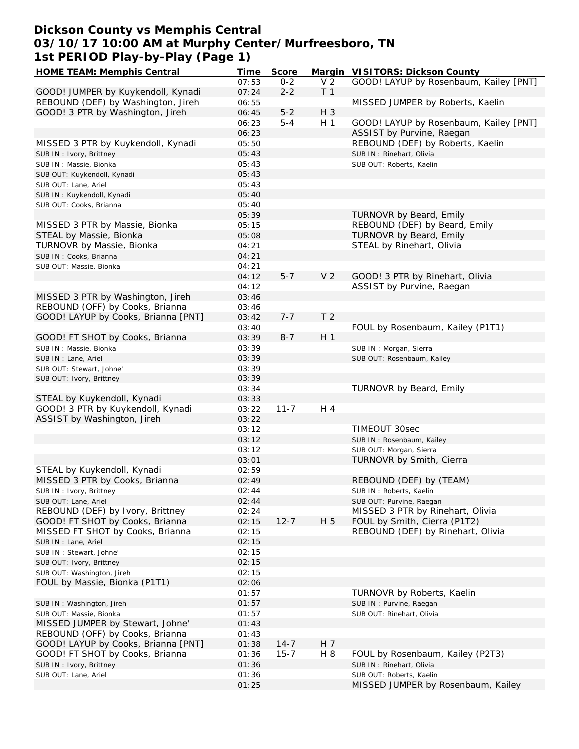## **Dickson County vs Memphis Central 03/10/17 10:00 AM at Murphy Center/Murfreesboro, TN 1st PERIOD Play-by-Play (Page 1)**

| HOME TEAM: Memphis Central          | Time  | Score    |                | Margin VISITORS: Dickson County        |
|-------------------------------------|-------|----------|----------------|----------------------------------------|
|                                     | 07:53 | $0 - 2$  | V <sub>2</sub> | GOOD! LAYUP by Rosenbaum, Kailey [PNT] |
| GOOD! JUMPER by Kuykendoll, Kynadi  | 07:24 | $2 - 2$  | T <sub>1</sub> |                                        |
| REBOUND (DEF) by Washington, Jireh  | 06:55 |          |                | MISSED JUMPER by Roberts, Kaelin       |
| GOOD! 3 PTR by Washington, Jireh    | 06:45 | $5 - 2$  | H 3            |                                        |
|                                     | 06:23 | $5 - 4$  | H <sub>1</sub> | GOOD! LAYUP by Rosenbaum, Kailey [PNT] |
|                                     | 06:23 |          |                | ASSIST by Purvine, Raegan              |
|                                     |       |          |                |                                        |
| MISSED 3 PTR by Kuykendoll, Kynadi  | 05:50 |          |                | REBOUND (DEF) by Roberts, Kaelin       |
| SUB IN: Ivory, Brittney             | 05:43 |          |                | SUB IN: Rinehart, Olivia               |
| SUB IN : Massie, Bionka             | 05:43 |          |                | SUB OUT: Roberts, Kaelin               |
| SUB OUT: Kuykendoll, Kynadi         | 05:43 |          |                |                                        |
| SUB OUT: Lane, Ariel                | 05:43 |          |                |                                        |
| SUB IN: Kuykendoll, Kynadi          | 05:40 |          |                |                                        |
| SUB OUT: Cooks, Brianna             | 05:40 |          |                |                                        |
|                                     | 05:39 |          |                | TURNOVR by Beard, Emily                |
| MISSED 3 PTR by Massie, Bionka      | 05:15 |          |                | REBOUND (DEF) by Beard, Emily          |
| STEAL by Massie, Bionka             | 05:08 |          |                | TURNOVR by Beard, Emily                |
| TURNOVR by Massie, Bionka           | 04:21 |          |                | STEAL by Rinehart, Olivia              |
|                                     |       |          |                |                                        |
| SUB IN: Cooks, Brianna              | 04:21 |          |                |                                        |
| SUB OUT: Massie, Bionka             | 04:21 |          |                |                                        |
|                                     | 04:12 | $5 - 7$  | V <sub>2</sub> | GOOD! 3 PTR by Rinehart, Olivia        |
|                                     | 04:12 |          |                | ASSIST by Purvine, Raegan              |
| MISSED 3 PTR by Washington, Jireh   | 03:46 |          |                |                                        |
| REBOUND (OFF) by Cooks, Brianna     | 03:46 |          |                |                                        |
| GOOD! LAYUP by Cooks, Brianna [PNT] | 03:42 | $7 - 7$  | T <sub>2</sub> |                                        |
|                                     | 03:40 |          |                | FOUL by Rosenbaum, Kailey (P1T1)       |
| GOOD! FT SHOT by Cooks, Brianna     | 03:39 | $8 - 7$  | H 1            |                                        |
| SUB IN: Massie, Bionka              | 03:39 |          |                | SUB IN: Morgan, Sierra                 |
| SUB IN : Lane, Ariel                | 03:39 |          |                | SUB OUT: Rosenbaum, Kailey             |
| SUB OUT: Stewart, Johne'            | 03:39 |          |                |                                        |
|                                     |       |          |                |                                        |
| SUB OUT: Ivory, Brittney            | 03:39 |          |                |                                        |
|                                     | 03:34 |          |                | TURNOVR by Beard, Emily                |
| STEAL by Kuykendoll, Kynadi         | 03:33 |          |                |                                        |
| GOOD! 3 PTR by Kuykendoll, Kynadi   | 03:22 | $11 - 7$ | H 4            |                                        |
| ASSIST by Washington, Jireh         | 03:22 |          |                |                                        |
|                                     | 03:12 |          |                | TIMEOUT 30sec                          |
|                                     | 03:12 |          |                | SUB IN: Rosenbaum, Kailey              |
|                                     | 03:12 |          |                | SUB OUT: Morgan, Sierra                |
|                                     | 03:01 |          |                | TURNOVR by Smith, Cierra               |
| STEAL by Kuykendoll, Kynadi         | 02:59 |          |                |                                        |
| MISSED 3 PTR by Cooks, Brianna      | 02:49 |          |                | REBOUND (DEF) by (TEAM)                |
| SUB IN: Ivory, Brittney             | 02:44 |          |                | SUB IN: Roberts, Kaelin                |
|                                     |       |          |                |                                        |
| SUB OUT: Lane, Ariel                | 02:44 |          |                | SUB OUT: Purvine, Raegan               |
| REBOUND (DEF) by Ivory, Brittney    | 02:24 |          |                | MISSED 3 PTR by Rinehart, Olivia       |
| GOOD! FT SHOT by Cooks, Brianna     | 02:15 | $12 - 7$ | H 5            | FOUL by Smith, Cierra (P1T2)           |
| MISSED FT SHOT by Cooks, Brianna    | 02:15 |          |                | REBOUND (DEF) by Rinehart, Olivia      |
| SUB IN : Lane, Ariel                | 02:15 |          |                |                                        |
| SUB IN: Stewart, Johne'             | 02:15 |          |                |                                        |
| SUB OUT: Ivory, Brittney            | 02:15 |          |                |                                        |
| SUB OUT: Washington, Jireh          | 02:15 |          |                |                                        |
| FOUL by Massie, Bionka (P1T1)       | 02:06 |          |                |                                        |
|                                     | 01:57 |          |                | TURNOVR by Roberts, Kaelin             |
| SUB IN: Washington, Jireh           | 01:57 |          |                | SUB IN: Purvine, Raegan                |
| SUB OUT: Massie, Bionka             | 01:57 |          |                | SUB OUT: Rinehart, Olivia              |
| MISSED JUMPER by Stewart, Johne'    | 01:43 |          |                |                                        |
|                                     |       |          |                |                                        |
| REBOUND (OFF) by Cooks, Brianna     | 01:43 |          |                |                                        |
| GOOD! LAYUP by Cooks, Brianna [PNT] | 01:38 | $14 - 7$ | H 7            |                                        |
| GOOD! FT SHOT by Cooks, Brianna     | 01:36 | $15 - 7$ | H 8            | FOUL by Rosenbaum, Kailey (P2T3)       |
| SUB IN: Ivory, Brittney             | 01:36 |          |                | SUB IN: Rinehart, Olivia               |
| SUB OUT: Lane, Ariel                | 01:36 |          |                | SUB OUT: Roberts, Kaelin               |
|                                     | 01:25 |          |                | MISSED JUMPER by Rosenbaum, Kailey     |
|                                     |       |          |                |                                        |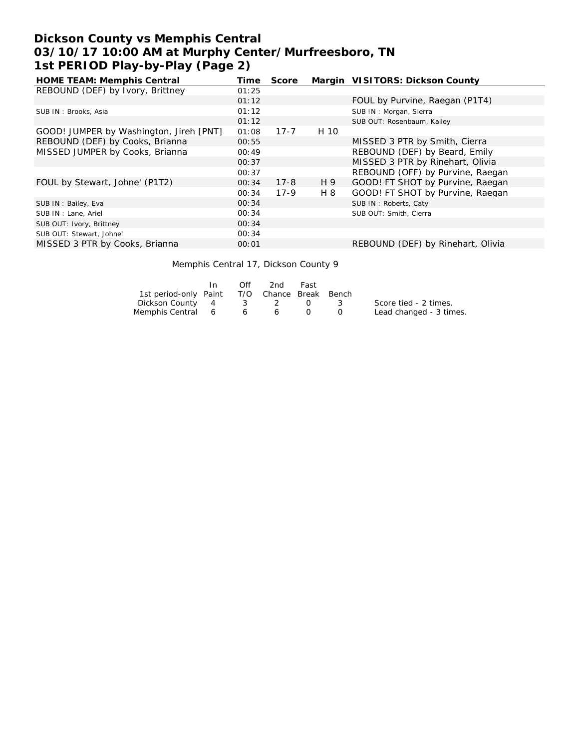# **Dickson County vs Memphis Central 03/10/17 10:00 AM at Murphy Center/Murfreesboro, TN 1st PERIOD Play-by-Play (Page 2)**

| Time  | Score    |      | Margin VISITORS: Dickson County   |
|-------|----------|------|-----------------------------------|
| 01:25 |          |      |                                   |
| 01:12 |          |      | FOUL by Purvine, Raegan (P1T4)    |
| 01:12 |          |      | SUB IN: Morgan, Sierra            |
| 01:12 |          |      | SUB OUT: Rosenbaum, Kailey        |
| 01:08 | $17 - 7$ | H 10 |                                   |
| 00:55 |          |      | MISSED 3 PTR by Smith, Cierra     |
| 00:49 |          |      | REBOUND (DEF) by Beard, Emily     |
| 00:37 |          |      | MISSED 3 PTR by Rinehart, Olivia  |
| 00:37 |          |      | REBOUND (OFF) by Purvine, Raegan  |
| 00:34 | $17 - 8$ | H 9  | GOOD! FT SHOT by Purvine, Raegan  |
| 00:34 | $17-9$   | H 8  | GOOD! FT SHOT by Purvine, Raegan  |
| 00:34 |          |      | SUB IN: Roberts, Caty             |
| 00:34 |          |      | SUB OUT: Smith, Cierra            |
| 00:34 |          |      |                                   |
| 00:34 |          |      |                                   |
| 00:01 |          |      | REBOUND (DEF) by Rinehart, Olivia |
|       |          |      |                                   |

#### Memphis Central 17, Dickson County 9

|                                              | In. | Off             | 2nd   | Fast |                         |
|----------------------------------------------|-----|-----------------|-------|------|-------------------------|
| 1st period-only Paint T/O Chance Break Bench |     |                 |       |      |                         |
| Dickson County 4                             |     |                 | 3 2 0 |      | Score tied - 2 times.   |
| Memphis Central 6                            |     | $6\overline{6}$ |       |      | Lead changed - 3 times. |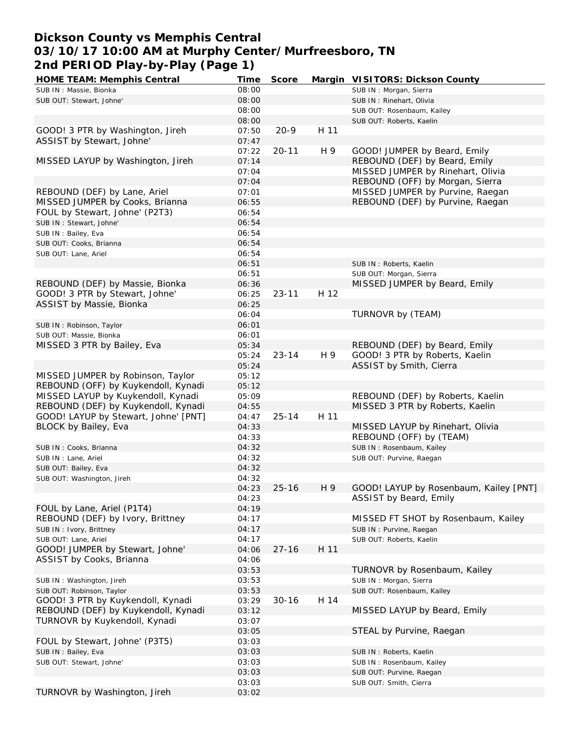## **Dickson County vs Memphis Central 03/10/17 10:00 AM at Murphy Center/Murfreesboro, TN 2nd PERIOD Play-by-Play (Page 1)**

| HOME TEAM: Memphis Central           | Time  | Score     |      | Margin VISITORS: Dickson County        |
|--------------------------------------|-------|-----------|------|----------------------------------------|
| SUB IN : Massie, Bionka              | 08:00 |           |      | SUB IN: Morgan, Sierra                 |
| SUB OUT: Stewart, Johne'             | 08:00 |           |      | SUB IN: Rinehart, Olivia               |
|                                      | 08:00 |           |      | SUB OUT: Rosenbaum, Kailey             |
|                                      | 08:00 |           |      | SUB OUT: Roberts, Kaelin               |
| GOOD! 3 PTR by Washington, Jireh     | 07:50 | $20 - 9$  | H 11 |                                        |
| ASSIST by Stewart, Johne'            | 07:47 |           |      |                                        |
|                                      | 07:22 | $20 - 11$ | H 9  | GOOD! JUMPER by Beard, Emily           |
| MISSED LAYUP by Washington, Jireh    | 07:14 |           |      | REBOUND (DEF) by Beard, Emily          |
|                                      | 07:04 |           |      | MISSED JUMPER by Rinehart, Olivia      |
|                                      |       |           |      | REBOUND (OFF) by Morgan, Sierra        |
|                                      | 07:04 |           |      | MISSED JUMPER by Purvine, Raegan       |
| REBOUND (DEF) by Lane, Ariel         | 07:01 |           |      |                                        |
| MISSED JUMPER by Cooks, Brianna      | 06:55 |           |      | REBOUND (DEF) by Purvine, Raegan       |
| FOUL by Stewart, Johne' (P2T3)       | 06:54 |           |      |                                        |
| SUB IN: Stewart, Johne'              | 06:54 |           |      |                                        |
| SUB IN: Bailey, Eva                  | 06:54 |           |      |                                        |
| SUB OUT: Cooks, Brianna              | 06:54 |           |      |                                        |
| SUB OUT: Lane, Ariel                 | 06:54 |           |      |                                        |
|                                      | 06:51 |           |      | SUB IN: Roberts, Kaelin                |
|                                      | 06:51 |           |      | SUB OUT: Morgan, Sierra                |
| REBOUND (DEF) by Massie, Bionka      | 06:36 |           |      | MISSED JUMPER by Beard, Emily          |
| GOOD! 3 PTR by Stewart, Johne'       | 06:25 | $23 - 11$ | H 12 |                                        |
| ASSIST by Massie, Bionka             | 06:25 |           |      |                                        |
|                                      | 06:04 |           |      | TURNOVR by (TEAM)                      |
| SUB IN: Robinson, Taylor             | 06:01 |           |      |                                        |
| SUB OUT: Massie, Bionka              | 06:01 |           |      |                                        |
| MISSED 3 PTR by Bailey, Eva          | 05:34 |           |      | REBOUND (DEF) by Beard, Emily          |
|                                      | 05:24 | $23 - 14$ | H 9  | GOOD! 3 PTR by Roberts, Kaelin         |
|                                      | 05:24 |           |      | ASSIST by Smith, Cierra                |
| MISSED JUMPER by Robinson, Taylor    | 05:12 |           |      |                                        |
| REBOUND (OFF) by Kuykendoll, Kynadi  | 05:12 |           |      |                                        |
| MISSED LAYUP by Kuykendoll, Kynadi   | 05:09 |           |      | REBOUND (DEF) by Roberts, Kaelin       |
| REBOUND (DEF) by Kuykendoll, Kynadi  | 04:55 |           |      | MISSED 3 PTR by Roberts, Kaelin        |
| GOOD! LAYUP by Stewart, Johne' [PNT] | 04:47 | $25 - 14$ | H 11 |                                        |
| BLOCK by Bailey, Eva                 | 04:33 |           |      | MISSED LAYUP by Rinehart, Olivia       |
|                                      | 04:33 |           |      | REBOUND (OFF) by (TEAM)                |
| SUB IN: Cooks, Brianna               | 04:32 |           |      | SUB IN: Rosenbaum, Kailey              |
| SUB IN: Lane, Ariel                  | 04:32 |           |      | SUB OUT: Purvine, Raegan               |
| SUB OUT: Bailey, Eva                 | 04:32 |           |      |                                        |
| SUB OUT: Washington, Jireh           | 04:32 |           |      |                                        |
|                                      | 04:23 | $25 - 16$ | H 9  | GOOD! LAYUP by Rosenbaum, Kailey [PNT] |
|                                      | 04:23 |           |      | ASSIST by Beard, Emily                 |
| FOUL by Lane, Ariel (P1T4)           | 04:19 |           |      |                                        |
| REBOUND (DEF) by Ivory, Brittney     | 04:17 |           |      | MISSED FT SHOT by Rosenbaum, Kailey    |
| SUB IN: Ivory, Brittney              | 04:17 |           |      | SUB IN: Purvine, Raegan                |
| SUB OUT: Lane, Ariel                 | 04:17 |           |      |                                        |
|                                      |       | $27 - 16$ |      | SUB OUT: Roberts, Kaelin               |
| GOOD! JUMPER by Stewart, Johne'      | 04:06 |           | H 11 |                                        |
| ASSIST by Cooks, Brianna             | 04:06 |           |      |                                        |
|                                      | 03:53 |           |      | TURNOVR by Rosenbaum, Kailey           |
| SUB IN: Washington, Jireh            | 03:53 |           |      | SUB IN: Morgan, Sierra                 |
| SUB OUT: Robinson, Taylor            | 03:53 |           |      | SUB OUT: Rosenbaum, Kailey             |
| GOOD! 3 PTR by Kuykendoll, Kynadi    | 03:29 | $30 - 16$ | H 14 |                                        |
| REBOUND (DEF) by Kuykendoll, Kynadi  | 03:12 |           |      | MISSED LAYUP by Beard, Emily           |
| TURNOVR by Kuykendoll, Kynadi        | 03:07 |           |      |                                        |
|                                      | 03:05 |           |      | STEAL by Purvine, Raegan               |
| FOUL by Stewart, Johne' (P3T5)       | 03:03 |           |      |                                        |
| SUB IN: Bailey, Eva                  | 03:03 |           |      | SUB IN: Roberts, Kaelin                |
| SUB OUT: Stewart, Johne'             | 03:03 |           |      | SUB IN: Rosenbaum, Kailey              |
|                                      | 03:03 |           |      | SUB OUT: Purvine, Raegan               |
|                                      | 03:03 |           |      | SUB OUT: Smith, Cierra                 |
| TURNOVR by Washington, Jireh         | 03:02 |           |      |                                        |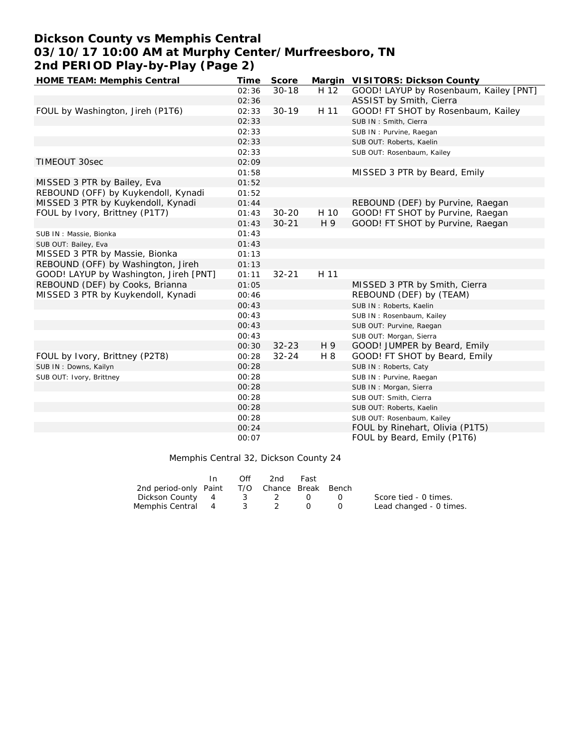# **Dickson County vs Memphis Central 03/10/17 10:00 AM at Murphy Center/Murfreesboro, TN 2nd PERIOD Play-by-Play (Page 2)**

| HOME TEAM: Memphis Central             | Time  | Score     |      | Margin VISITORS: Dickson County        |
|----------------------------------------|-------|-----------|------|----------------------------------------|
|                                        | 02:36 | $30 - 18$ | H 12 | GOOD! LAYUP by Rosenbaum, Kailey [PNT] |
|                                        | 02:36 |           |      | ASSIST by Smith, Cierra                |
| FOUL by Washington, Jireh (P1T6)       | 02:33 | $30 - 19$ | H 11 | GOOD! FT SHOT by Rosenbaum, Kailey     |
|                                        | 02:33 |           |      | SUB IN: Smith, Cierra                  |
|                                        | 02:33 |           |      | SUB IN: Purvine, Raegan                |
|                                        | 02:33 |           |      | SUB OUT: Roberts, Kaelin               |
|                                        | 02:33 |           |      | SUB OUT: Rosenbaum, Kailey             |
| TIMEOUT 30sec                          | 02:09 |           |      |                                        |
|                                        | 01:58 |           |      | MISSED 3 PTR by Beard, Emily           |
| MISSED 3 PTR by Bailey, Eva            | 01:52 |           |      |                                        |
| REBOUND (OFF) by Kuykendoll, Kynadi    | 01:52 |           |      |                                        |
| MISSED 3 PTR by Kuykendoll, Kynadi     | 01:44 |           |      | REBOUND (DEF) by Purvine, Raegan       |
| FOUL by Ivory, Brittney (P1T7)         | 01:43 | $30 - 20$ | H 10 | GOOD! FT SHOT by Purvine, Raegan       |
|                                        | 01:43 | $30 - 21$ | H 9  | GOOD! FT SHOT by Purvine, Raegan       |
| SUB IN: Massie, Bionka                 | 01:43 |           |      |                                        |
| SUB OUT: Bailey, Eva                   | 01:43 |           |      |                                        |
| MISSED 3 PTR by Massie, Bionka         | 01:13 |           |      |                                        |
| REBOUND (OFF) by Washington, Jireh     | 01:13 |           |      |                                        |
| GOOD! LAYUP by Washington, Jireh [PNT] | 01:11 | $32 - 21$ | H 11 |                                        |
| REBOUND (DEF) by Cooks, Brianna        | 01:05 |           |      | MISSED 3 PTR by Smith, Cierra          |
| MISSED 3 PTR by Kuykendoll, Kynadi     | 00:46 |           |      | REBOUND (DEF) by (TEAM)                |
|                                        | 00:43 |           |      | SUB IN: Roberts, Kaelin                |
|                                        | 00:43 |           |      | SUB IN: Rosenbaum, Kailey              |
|                                        | 00:43 |           |      | SUB OUT: Purvine, Raegan               |
|                                        | 00:43 |           |      | SUB OUT: Morgan, Sierra                |
|                                        | 00:30 | $32 - 23$ | H 9  | GOOD! JUMPER by Beard, Emily           |
| FOUL by Ivory, Brittney (P2T8)         | 00:28 | $32 - 24$ | H 8  | GOOD! FT SHOT by Beard, Emily          |
| SUB IN: Downs, Kailyn                  | 00:28 |           |      | SUB IN: Roberts, Caty                  |
| SUB OUT: Ivory, Brittney               | 00:28 |           |      | SUB IN: Purvine, Raegan                |
|                                        | 00:28 |           |      | SUB IN: Morgan, Sierra                 |
|                                        | 00:28 |           |      | SUB OUT: Smith, Cierra                 |
|                                        | 00:28 |           |      | SUB OUT: Roberts, Kaelin               |
|                                        | 00:28 |           |      | SUB OUT: Rosenbaum, Kailey             |
|                                        | 00:24 |           |      | FOUL by Rinehart, Olivia (P1T5)        |
|                                        | 00:07 |           |      | FOUL by Beard, Emily (P1T6)            |

Memphis Central 32, Dickson County 24

|                                              | $\bigcirc$ ff | 2nd | Fast |                         |
|----------------------------------------------|---------------|-----|------|-------------------------|
| 2nd period-only Paint T/O Chance Break Bench |               |     |      |                         |
| Dickson County 4 3 2 0 0                     |               |     |      | Score tied - 0 times.   |
| Memphis Central 4 3 2                        |               |     |      | Lead changed - 0 times. |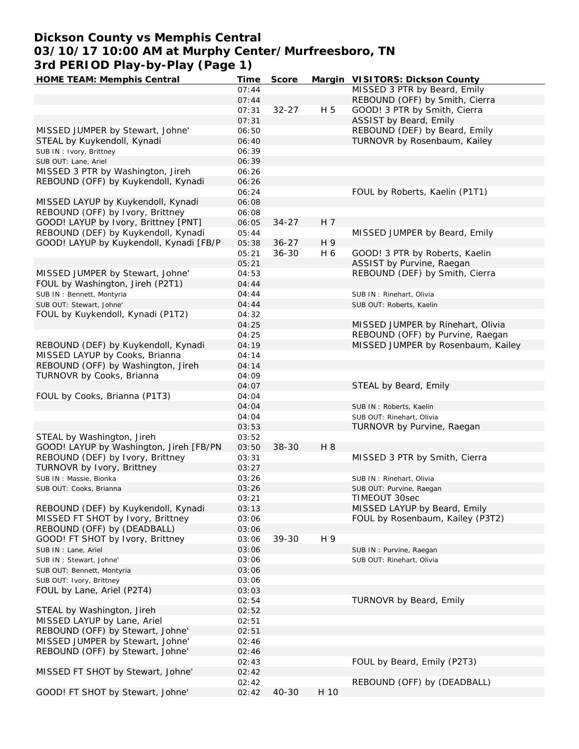## **Dickson County vs Memphis Central 03/10/17 10:00 AM at Murphy Center/Murfreesboro, TN 3rd PERIOD Play-by-Play (Page 1)**

| HOME TEAM: Memphis Central              | Time  | Score     |      | Margin VISITORS: Dickson County    |
|-----------------------------------------|-------|-----------|------|------------------------------------|
|                                         | 07:44 |           |      | MISSED 3 PTR by Beard, Emily       |
|                                         | 07:44 |           |      | REBOUND (OFF) by Smith, Cierra     |
|                                         | 07:31 | $32 - 27$ | H 5  | GOOD! 3 PTR by Smith, Cierra       |
|                                         | 07:31 |           |      | ASSIST by Beard, Emily             |
| MISSED JUMPER by Stewart, Johne'        | 06:50 |           |      | REBOUND (DEF) by Beard, Emily      |
| STEAL by Kuykendoll, Kynadi             | 06:40 |           |      | TURNOVR by Rosenbaum, Kailey       |
| SUB IN: Ivory, Brittney                 | 06:39 |           |      |                                    |
| SUB OUT: Lane, Ariel                    | 06:39 |           |      |                                    |
| MISSED 3 PTR by Washington, Jireh       | 06:26 |           |      |                                    |
| REBOUND (OFF) by Kuykendoll, Kynadi     | 06:26 |           |      |                                    |
|                                         | 06:24 |           |      | FOUL by Roberts, Kaelin (P1T1)     |
| MISSED LAYUP by Kuykendoll, Kynadi      | 06:08 |           |      |                                    |
| REBOUND (OFF) by Ivory, Brittney        | 06:08 |           |      |                                    |
| GOOD! LAYUP by Ivory, Brittney [PNT]    | 06:05 | $34 - 27$ | H 7  |                                    |
| REBOUND (DEF) by Kuykendoll, Kynadi     | 05:44 |           |      | MISSED JUMPER by Beard, Emily      |
| GOOD! LAYUP by Kuykendoll, Kynadi [FB/P | 05:38 | $36 - 27$ | H 9  |                                    |
|                                         | 05:21 | $36 - 30$ | H 6  | GOOD! 3 PTR by Roberts, Kaelin     |
|                                         | 05:21 |           |      | ASSIST by Purvine, Raegan          |
| MISSED JUMPER by Stewart, Johne'        | 04:53 |           |      | REBOUND (DEF) by Smith, Cierra     |
| FOUL by Washington, Jireh (P2T1)        | 04:44 |           |      |                                    |
| SUB IN: Bennett, Montyria               | 04:44 |           |      | SUB IN: Rinehart, Olivia           |
| SUB OUT: Stewart, Johne'                | 04:44 |           |      | SUB OUT: Roberts, Kaelin           |
| FOUL by Kuykendoll, Kynadi (P1T2)       | 04:32 |           |      |                                    |
|                                         | 04:25 |           |      | MISSED JUMPER by Rinehart, Olivia  |
|                                         |       |           |      | REBOUND (OFF) by Purvine, Raegan   |
|                                         | 04:25 |           |      |                                    |
| REBOUND (DEF) by Kuykendoll, Kynadi     | 04:19 |           |      | MISSED JUMPER by Rosenbaum, Kailey |
| MISSED LAYUP by Cooks, Brianna          | 04:14 |           |      |                                    |
| REBOUND (OFF) by Washington, Jireh      | 04:14 |           |      |                                    |
| TURNOVR by Cooks, Brianna               | 04:09 |           |      |                                    |
|                                         | 04:07 |           |      | STEAL by Beard, Emily              |
| FOUL by Cooks, Brianna (P1T3)           | 04:04 |           |      |                                    |
|                                         | 04:04 |           |      | SUB IN: Roberts, Kaelin            |
|                                         | 04:04 |           |      | SUB OUT: Rinehart, Olivia          |
|                                         | 03:53 |           |      | TURNOVR by Purvine, Raegan         |
| STEAL by Washington, Jireh              | 03:52 |           |      |                                    |
| GOOD! LAYUP by Washington, Jireh [FB/PN | 03:50 | $38 - 30$ | H 8  |                                    |
| REBOUND (DEF) by Ivory, Brittney        | 03:31 |           |      | MISSED 3 PTR by Smith, Cierra      |
| TURNOVR by Ivory, Brittney              | 03:27 |           |      |                                    |
| SUB IN: Massie, Bionka                  | 03:26 |           |      | SUB IN: Rinehart, Olivia           |
| SUB OUT: Cooks, Brianna                 | 03:26 |           |      | SUB OUT: Purvine, Raegan           |
|                                         | 03:21 |           |      | TIMEOUT 30sec                      |
| REBOUND (DEF) by Kuykendoll, Kynadi     | 03:13 |           |      | MISSED LAYUP by Beard, Emily       |
| MISSED FT SHOT by Ivory, Brittney       | 03:06 |           |      | FOUL by Rosenbaum, Kailey (P3T2)   |
| REBOUND (OFF) by (DEADBALL)             | 03:06 |           |      |                                    |
| GOOD! FT SHOT by Ivory, Brittney        | 03:06 | 39-30     | H 9  |                                    |
| SUB IN : Lane, Ariel                    | 03:06 |           |      | SUB IN: Purvine, Raegan            |
| SUB IN: Stewart, Johne'                 | 03:06 |           |      | SUB OUT: Rinehart, Olivia          |
| SUB OUT: Bennett, Montyria              | 03:06 |           |      |                                    |
| SUB OUT: Ivory, Brittney                | 03:06 |           |      |                                    |
| FOUL by Lane, Ariel (P2T4)              | 03:03 |           |      |                                    |
|                                         | 02:54 |           |      | TURNOVR by Beard, Emily            |
| STEAL by Washington, Jireh              | 02:52 |           |      |                                    |
| MISSED LAYUP by Lane, Ariel             | 02:51 |           |      |                                    |
| REBOUND (OFF) by Stewart, Johne'        | 02:51 |           |      |                                    |
| MISSED JUMPER by Stewart, Johne'        | 02:46 |           |      |                                    |
| REBOUND (OFF) by Stewart, Johne'        | 02:46 |           |      |                                    |
|                                         | 02:43 |           |      | FOUL by Beard, Emily (P2T3)        |
| MISSED FT SHOT by Stewart, Johne'       | 02:42 |           |      |                                    |
|                                         | 02:42 |           |      | REBOUND (OFF) by (DEADBALL)        |
| GOOD! FT SHOT by Stewart, Johne'        | 02:42 | $40 - 30$ | H 10 |                                    |
|                                         |       |           |      |                                    |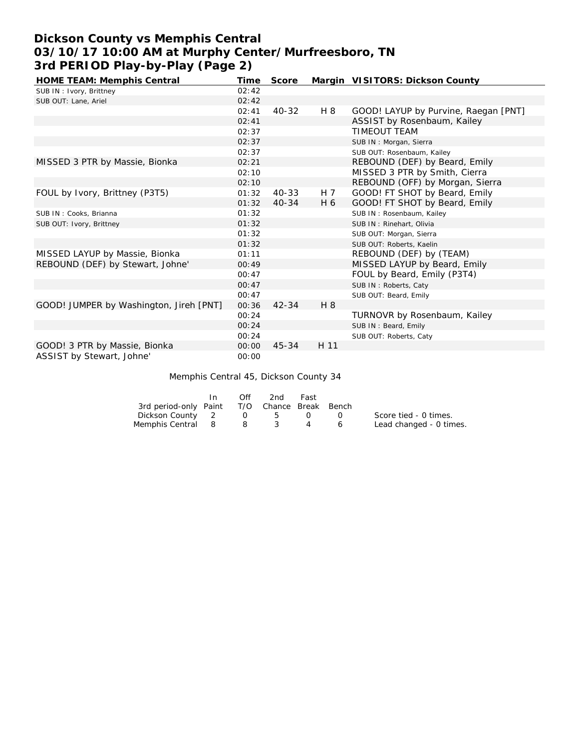# **Dickson County vs Memphis Central 03/10/17 10:00 AM at Murphy Center/Murfreesboro, TN 3rd PERIOD Play-by-Play (Page 2)**

| HOME TEAM: Memphis Central              | Time  | Score     |      | Margin VISITORS: Dickson County      |
|-----------------------------------------|-------|-----------|------|--------------------------------------|
| SUB IN: Ivory, Brittney                 | 02:42 |           |      |                                      |
| SUB OUT: Lane, Ariel                    | 02:42 |           |      |                                      |
|                                         | 02:41 | 40-32     | H 8  | GOOD! LAYUP by Purvine, Raegan [PNT] |
|                                         | 02:41 |           |      | ASSIST by Rosenbaum, Kailey          |
|                                         | 02:37 |           |      | <b>TIMEOUT TEAM</b>                  |
|                                         | 02:37 |           |      | SUB IN: Morgan, Sierra               |
|                                         | 02:37 |           |      | SUB OUT: Rosenbaum, Kailey           |
| MISSED 3 PTR by Massie, Bionka          | 02:21 |           |      | REBOUND (DEF) by Beard, Emily        |
|                                         | 02:10 |           |      | MISSED 3 PTR by Smith, Cierra        |
|                                         | 02:10 |           |      | REBOUND (OFF) by Morgan, Sierra      |
| FOUL by Ivory, Brittney (P3T5)          | 01:32 | 40-33     | H 7  | GOOD! FT SHOT by Beard, Emily        |
|                                         | 01:32 | $40 - 34$ | H 6  | GOOD! FT SHOT by Beard, Emily        |
| SUB IN: Cooks, Brianna                  | 01:32 |           |      | SUB IN: Rosenbaum, Kailey            |
| SUB OUT: Ivory, Brittney                | 01:32 |           |      | SUB IN: Rinehart, Olivia             |
|                                         | 01:32 |           |      | SUB OUT: Morgan, Sierra              |
|                                         | 01:32 |           |      | SUB OUT: Roberts, Kaelin             |
| MISSED LAYUP by Massie, Bionka          | 01:11 |           |      | REBOUND (DEF) by (TEAM)              |
| REBOUND (DEF) by Stewart, Johne'        | 00:49 |           |      | MISSED LAYUP by Beard, Emily         |
|                                         | 00:47 |           |      | FOUL by Beard, Emily (P3T4)          |
|                                         | 00:47 |           |      | SUB IN: Roberts, Caty                |
|                                         | 00:47 |           |      | SUB OUT: Beard, Emily                |
| GOOD! JUMPER by Washington, Jireh [PNT] | 00:36 | $42 - 34$ | H 8  |                                      |
|                                         | 00:24 |           |      | TURNOVR by Rosenbaum, Kailey         |
|                                         | 00:24 |           |      | SUB IN: Beard, Emily                 |
|                                         | 00:24 |           |      | SUB OUT: Roberts, Caty               |
| GOOD! 3 PTR by Massie, Bionka           | 00:00 | 45-34     | H 11 |                                      |
| ASSIST by Stewart, Johne'               | 00:00 |           |      |                                      |

### Memphis Central 45, Dickson County 34

|                                              | In. | Off            | 2nd | Fast             |          |                         |
|----------------------------------------------|-----|----------------|-----|------------------|----------|-------------------------|
| 3rd period-only Paint T/O Chance Break Bench |     |                |     |                  |          |                         |
| Dickson County 2                             |     | $\overline{O}$ | 5   | $\left( \right)$ | <b>U</b> | Score tied - 0 times.   |
| Memphis Central 8                            |     | - 8            |     |                  | $\sim$ 6 | Lead changed - 0 times. |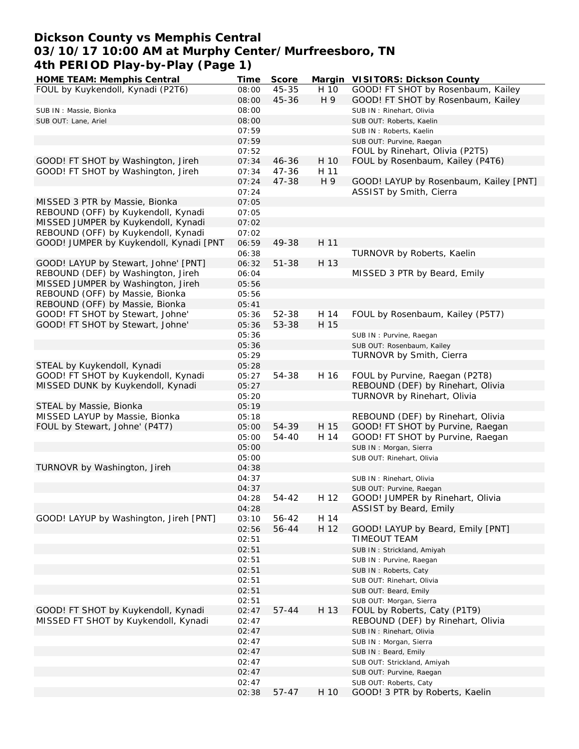## **Dickson County vs Memphis Central 03/10/17 10:00 AM at Murphy Center/Murfreesboro, TN 4th PERIOD Play-by-Play (Page 1)**

| HOME TEAM: Memphis Central              | <b>Time</b> | Score     |      | Margin VISITORS: Dickson County        |
|-----------------------------------------|-------------|-----------|------|----------------------------------------|
| FOUL by Kuykendoll, Kynadi (P2T6)       | 08:00       | $45 - 35$ | H 10 | GOOD! FT SHOT by Rosenbaum, Kailey     |
|                                         | 08:00       | 45-36     | H 9  | GOOD! FT SHOT by Rosenbaum, Kailey     |
| SUB IN: Massie, Bionka                  | 08:00       |           |      | SUB IN: Rinehart, Olivia               |
| SUB OUT: Lane, Ariel                    | 08:00       |           |      | SUB OUT: Roberts, Kaelin               |
|                                         | 07:59       |           |      | SUB IN: Roberts, Kaelin                |
|                                         | 07:59       |           |      | SUB OUT: Purvine, Raegan               |
|                                         | 07:52       |           |      | FOUL by Rinehart, Olivia (P2T5)        |
|                                         |             | $46 - 36$ |      |                                        |
| GOOD! FT SHOT by Washington, Jireh      | 07:34       |           | H 10 | FOUL by Rosenbaum, Kailey (P4T6)       |
| GOOD! FT SHOT by Washington, Jireh      | 07:34       | 47-36     | H 11 |                                        |
|                                         | 07:24       | 47-38     | H 9  | GOOD! LAYUP by Rosenbaum, Kailey [PNT] |
|                                         | 07:24       |           |      | ASSIST by Smith, Cierra                |
| MISSED 3 PTR by Massie, Bionka          | 07:05       |           |      |                                        |
| REBOUND (OFF) by Kuykendoll, Kynadi     | 07:05       |           |      |                                        |
| MISSED JUMPER by Kuykendoll, Kynadi     | 07:02       |           |      |                                        |
| REBOUND (OFF) by Kuykendoll, Kynadi     | 07:02       |           |      |                                        |
| GOOD! JUMPER by Kuykendoll, Kynadi [PNT | 06:59       | 49-38     | H 11 |                                        |
|                                         | 06:38       |           |      | TURNOVR by Roberts, Kaelin             |
| GOOD! LAYUP by Stewart, Johne' [PNT]    | 06:32       | $51 - 38$ | H 13 |                                        |
| REBOUND (DEF) by Washington, Jireh      | 06:04       |           |      | MISSED 3 PTR by Beard, Emily           |
| MISSED JUMPER by Washington, Jireh      | 05:56       |           |      |                                        |
| REBOUND (OFF) by Massie, Bionka         | 05:56       |           |      |                                        |
| REBOUND (OFF) by Massie, Bionka         | 05:41       |           |      |                                        |
| GOOD! FT SHOT by Stewart, Johne'        | 05:36       | 52-38     | H 14 | FOUL by Rosenbaum, Kailey (P5T7)       |
|                                         |             | 53-38     | H 15 |                                        |
| GOOD! FT SHOT by Stewart, Johne'        | 05:36       |           |      |                                        |
|                                         | 05:36       |           |      | SUB IN: Purvine, Raegan                |
|                                         | 05:36       |           |      | SUB OUT: Rosenbaum, Kailey             |
|                                         | 05:29       |           |      | TURNOVR by Smith, Cierra               |
| STEAL by Kuykendoll, Kynadi             | 05:28       |           |      |                                        |
| GOOD! FT SHOT by Kuykendoll, Kynadi     | 05:27       | 54-38     | H 16 | FOUL by Purvine, Raegan (P2T8)         |
| MISSED DUNK by Kuykendoll, Kynadi       | 05:27       |           |      | REBOUND (DEF) by Rinehart, Olivia      |
|                                         | 05:20       |           |      | TURNOVR by Rinehart, Olivia            |
| STEAL by Massie, Bionka                 | 05:19       |           |      |                                        |
| MISSED LAYUP by Massie, Bionka          | 05:18       |           |      | REBOUND (DEF) by Rinehart, Olivia      |
| FOUL by Stewart, Johne' (P4T7)          | 05:00       | 54-39     | H 15 | GOOD! FT SHOT by Purvine, Raegan       |
|                                         | 05:00       | 54-40     | H 14 | GOOD! FT SHOT by Purvine, Raegan       |
|                                         | 05:00       |           |      | SUB IN: Morgan, Sierra                 |
|                                         | 05:00       |           |      | SUB OUT: Rinehart, Olivia              |
| TURNOVR by Washington, Jireh            | 04:38       |           |      |                                        |
|                                         | 04:37       |           |      | SUB IN: Rinehart, Olivia               |
|                                         | 04:37       |           |      | SUB OUT: Purvine, Raegan               |
|                                         | 04:28       | 54-42     | H 12 | GOOD! JUMPER by Rinehart, Olivia       |
|                                         | 04:28       |           |      | ASSIST by Beard, Emily                 |
| GOOD! LAYUP by Washington, Jireh [PNT]  |             |           |      |                                        |
|                                         | 03:10       | 56-42     | H 14 |                                        |
|                                         | 02:56       | 56-44     | H 12 | GOOD! LAYUP by Beard, Emily [PNT]      |
|                                         | 02:51       |           |      | TIMEOUT TEAM                           |
|                                         | 02:51       |           |      | SUB IN: Strickland, Amiyah             |
|                                         | 02:51       |           |      | SUB IN: Purvine, Raegan                |
|                                         | 02:51       |           |      | SUB IN: Roberts, Caty                  |
|                                         | 02:51       |           |      | SUB OUT: Rinehart, Olivia              |
|                                         | 02:51       |           |      | SUB OUT: Beard, Emily                  |
|                                         | 02:51       |           |      | SUB OUT: Morgan, Sierra                |
| GOOD! FT SHOT by Kuykendoll, Kynadi     | 02:47       | $57 - 44$ | H 13 | FOUL by Roberts, Caty (P1T9)           |
| MISSED FT SHOT by Kuykendoll, Kynadi    | 02:47       |           |      | REBOUND (DEF) by Rinehart, Olivia      |
|                                         | 02:47       |           |      | SUB IN: Rinehart, Olivia               |
|                                         | 02:47       |           |      | SUB IN: Morgan, Sierra                 |
|                                         | 02:47       |           |      | SUB IN: Beard, Emily                   |
|                                         | 02:47       |           |      | SUB OUT: Strickland, Amiyah            |
|                                         | 02:47       |           |      | SUB OUT: Purvine, Raegan               |
|                                         | 02:47       |           |      | SUB OUT: Roberts, Caty                 |
|                                         |             |           |      |                                        |
|                                         | 02:38       | $57 - 47$ | H 10 | GOOD! 3 PTR by Roberts, Kaelin         |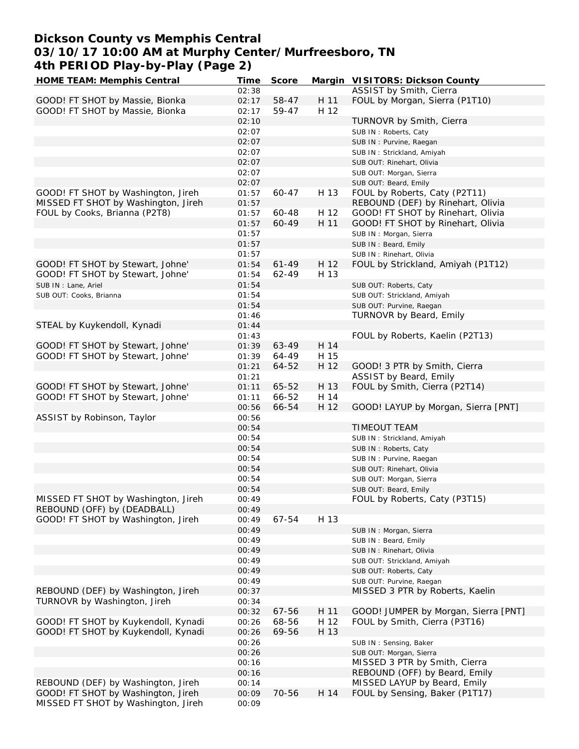#### **Dickson County vs Memphis Central 03/10/17 10:00 AM at Murphy Center/Murfreesboro, TN 4th PERIOD Play-by-Play (Page 2) HOME TEAM: Memphis Central Time Score Margin VISITORS: Dickson County**

| HOME TEAM: Memphis Central                                                | l ime          | Score     |      | Margin VISHORS: Dickson County       |
|---------------------------------------------------------------------------|----------------|-----------|------|--------------------------------------|
|                                                                           | 02:38          |           |      | ASSIST by Smith, Cierra              |
| GOOD! FT SHOT by Massie, Bionka                                           | 02:17          | 58-47     | H 11 | FOUL by Morgan, Sierra (P1T10)       |
| GOOD! FT SHOT by Massie, Bionka                                           | 02:17          | 59-47     | H 12 |                                      |
|                                                                           | 02:10          |           |      | TURNOVR by Smith, Cierra             |
|                                                                           | 02:07          |           |      | SUB IN: Roberts, Caty                |
|                                                                           | 02:07          |           |      | SUB IN: Purvine, Raegan              |
|                                                                           | 02:07          |           |      | SUB IN: Strickland, Amiyah           |
|                                                                           | 02:07          |           |      | SUB OUT: Rinehart, Olivia            |
|                                                                           | 02:07          |           |      | SUB OUT: Morgan, Sierra              |
|                                                                           | 02:07          |           |      | SUB OUT: Beard, Emily                |
| GOOD! FT SHOT by Washington, Jireh                                        | 01:57          | 60-47     | H 13 | FOUL by Roberts, Caty (P2T11)        |
| MISSED FT SHOT by Washington, Jireh                                       | 01:57          |           |      | REBOUND (DEF) by Rinehart, Olivia    |
| FOUL by Cooks, Brianna (P2T8)                                             | 01:57          | 60-48     | H 12 | GOOD! FT SHOT by Rinehart, Olivia    |
|                                                                           | 01:57          | 60-49     | H 11 | GOOD! FT SHOT by Rinehart, Olivia    |
|                                                                           | 01:57          |           |      | SUB IN: Morgan, Sierra               |
|                                                                           | 01:57          |           |      | SUB IN: Beard, Emily                 |
|                                                                           | 01:57          |           |      | SUB IN: Rinehart, Olivia             |
| GOOD! FT SHOT by Stewart, Johne'                                          | 01:54          | $61 - 49$ | H 12 | FOUL by Strickland, Amiyah (P1T12)   |
| GOOD! FT SHOT by Stewart, Johne'                                          | 01:54          | 62-49     | H 13 |                                      |
| SUB IN : Lane, Ariel                                                      | 01:54          |           |      | SUB OUT: Roberts, Caty               |
|                                                                           | 01:54          |           |      |                                      |
| SUB OUT: Cooks, Brianna                                                   |                |           |      | SUB OUT: Strickland, Amiyah          |
|                                                                           | 01:54          |           |      | SUB OUT: Purvine, Raegan             |
|                                                                           | 01:46          |           |      | TURNOVR by Beard, Emily              |
| STEAL by Kuykendoll, Kynadi                                               | 01:44          |           |      |                                      |
|                                                                           | 01:43          |           |      | FOUL by Roberts, Kaelin (P2T13)      |
| GOOD! FT SHOT by Stewart, Johne'                                          | 01:39          | 63-49     | H 14 |                                      |
| GOOD! FT SHOT by Stewart, Johne'                                          | 01:39          | 64-49     | H 15 |                                      |
|                                                                           | 01:21          | 64-52     | H 12 | GOOD! 3 PTR by Smith, Cierra         |
|                                                                           | 01:21          |           |      | ASSIST by Beard, Emily               |
| GOOD! FT SHOT by Stewart, Johne'                                          | 01:11          | 65-52     | H 13 | FOUL by Smith, Cierra (P2T14)        |
| GOOD! FT SHOT by Stewart, Johne'                                          | 01:11          | 66-52     | H 14 |                                      |
|                                                                           | 00:56          | 66-54     | H 12 | GOOD! LAYUP by Morgan, Sierra [PNT]  |
| ASSIST by Robinson, Taylor                                                | 00:56          |           |      |                                      |
|                                                                           | 00:54          |           |      | TIMEOUT TEAM                         |
|                                                                           | 00:54          |           |      | SUB IN: Strickland, Amiyah           |
|                                                                           | 00:54          |           |      | SUB IN: Roberts, Caty                |
|                                                                           | 00:54          |           |      | SUB IN: Purvine, Raegan              |
|                                                                           | 00:54          |           |      | SUB OUT: Rinehart, Olivia            |
|                                                                           | 00:54          |           |      | SUB OUT: Morgan, Sierra              |
|                                                                           | 00:54          |           |      | SUB OUT: Beard, Emily                |
| MISSED FT SHOT by Washington, Jireh                                       | 00:49          |           |      | FOUL by Roberts, Caty (P3T15)        |
| REBOUND (OFF) by (DEADBALL)                                               | 00:49          |           |      |                                      |
| GOOD! FT SHOT by Washington, Jireh                                        | 00:49          | 67-54     | H 13 |                                      |
|                                                                           | 00:49          |           |      | SUB IN: Morgan, Sierra               |
|                                                                           | 00:49          |           |      | SUB IN: Beard, Emily                 |
|                                                                           | 00:49          |           |      | SUB IN: Rinehart, Olivia             |
|                                                                           | 00:49          |           |      | SUB OUT: Strickland, Amiyah          |
|                                                                           | 00:49          |           |      | SUB OUT: Roberts, Caty               |
|                                                                           | 00:49          |           |      | SUB OUT: Purvine, Raegan             |
| REBOUND (DEF) by Washington, Jireh                                        | 00:37          |           |      | MISSED 3 PTR by Roberts, Kaelin      |
| TURNOVR by Washington, Jireh                                              | 00:34          |           |      |                                      |
|                                                                           | 00:32          | 67-56     | H 11 | GOOD! JUMPER by Morgan, Sierra [PNT] |
| GOOD! FT SHOT by Kuykendoll, Kynadi                                       | 00:26          | 68-56     | H 12 | FOUL by Smith, Cierra (P3T16)        |
| GOOD! FT SHOT by Kuykendoll, Kynadi                                       | 00:26          | 69-56     | H 13 |                                      |
|                                                                           |                |           |      |                                      |
|                                                                           | 00:26          |           |      | SUB IN: Sensing, Baker               |
|                                                                           | 00:26          |           |      | SUB OUT: Morgan, Sierra              |
|                                                                           | 00:16          |           |      | MISSED 3 PTR by Smith, Cierra        |
|                                                                           | 00:16          |           |      | REBOUND (OFF) by Beard, Emily        |
| REBOUND (DEF) by Washington, Jireh                                        | 00:14          |           |      | MISSED LAYUP by Beard, Emily         |
| GOOD! FT SHOT by Washington, Jireh<br>MISSED FT SHOT by Washington, Jireh | 00:09<br>00:09 | 70-56     | H 14 | FOUL by Sensing, Baker (P1T17)       |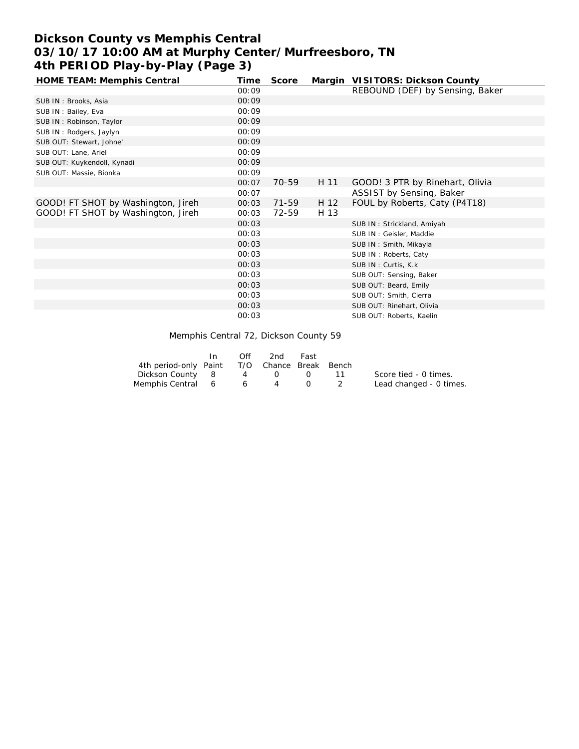# **Dickson County vs Memphis Central 03/10/17 10:00 AM at Murphy Center/Murfreesboro, TN 4th PERIOD Play-by-Play (Page 3)**

| HOME TEAM: Memphis Central         | Time  | Score |      | Margin VISITORS: Dickson County |
|------------------------------------|-------|-------|------|---------------------------------|
|                                    | 00:09 |       |      | REBOUND (DEF) by Sensing, Baker |
| SUB IN: Brooks, Asia               | 00:09 |       |      |                                 |
| SUB IN: Bailey, Eva                | 00:09 |       |      |                                 |
| SUB IN: Robinson, Taylor           | 00:09 |       |      |                                 |
| SUB IN: Rodgers, Jaylyn            | 00:09 |       |      |                                 |
| SUB OUT: Stewart, Johne'           | 00:09 |       |      |                                 |
| SUB OUT: Lane, Ariel               | 00:09 |       |      |                                 |
| SUB OUT: Kuykendoll, Kynadi        | 00:09 |       |      |                                 |
| SUB OUT: Massie, Bionka            | 00:09 |       |      |                                 |
|                                    | 00:07 | 70-59 | H 11 | GOOD! 3 PTR by Rinehart, Olivia |
|                                    | 00:07 |       |      | ASSIST by Sensing, Baker        |
| GOOD! FT SHOT by Washington, Jireh | 00:03 | 71-59 | H 12 | FOUL by Roberts, Caty (P4T18)   |
| GOOD! FT SHOT by Washington, Jireh | 00:03 | 72-59 | H 13 |                                 |
|                                    | 00:03 |       |      | SUB IN: Strickland, Amiyah      |
|                                    | 00:03 |       |      | SUB IN: Geisler, Maddie         |
|                                    | 00:03 |       |      | SUB IN: Smith, Mikayla          |
|                                    | 00:03 |       |      | SUB IN: Roberts, Caty           |
|                                    | 00:03 |       |      | SUB IN: Curtis, K.k.            |
|                                    | 00:03 |       |      | SUB OUT: Sensing, Baker         |
|                                    | 00:03 |       |      | SUB OUT: Beard, Emily           |
|                                    | 00:03 |       |      | SUB OUT: Smith, Cierra          |
|                                    | 00:03 |       |      | SUB OUT: Rinehart, Olivia       |
|                                    | 00:03 |       |      | SUB OUT: Roberts, Kaelin        |

Memphis Central 72, Dickson County 59

|                                              | Off            | 2nd | Fast |                         |
|----------------------------------------------|----------------|-----|------|-------------------------|
| 4th period-only Paint T/O Chance Break Bench |                |     |      |                         |
| Dickson County 8                             |                | 4 0 |      | Score tied - 0 times.   |
| Memphis Central 6                            | 6 <sup>6</sup> | 4   |      | Lead changed - 0 times. |